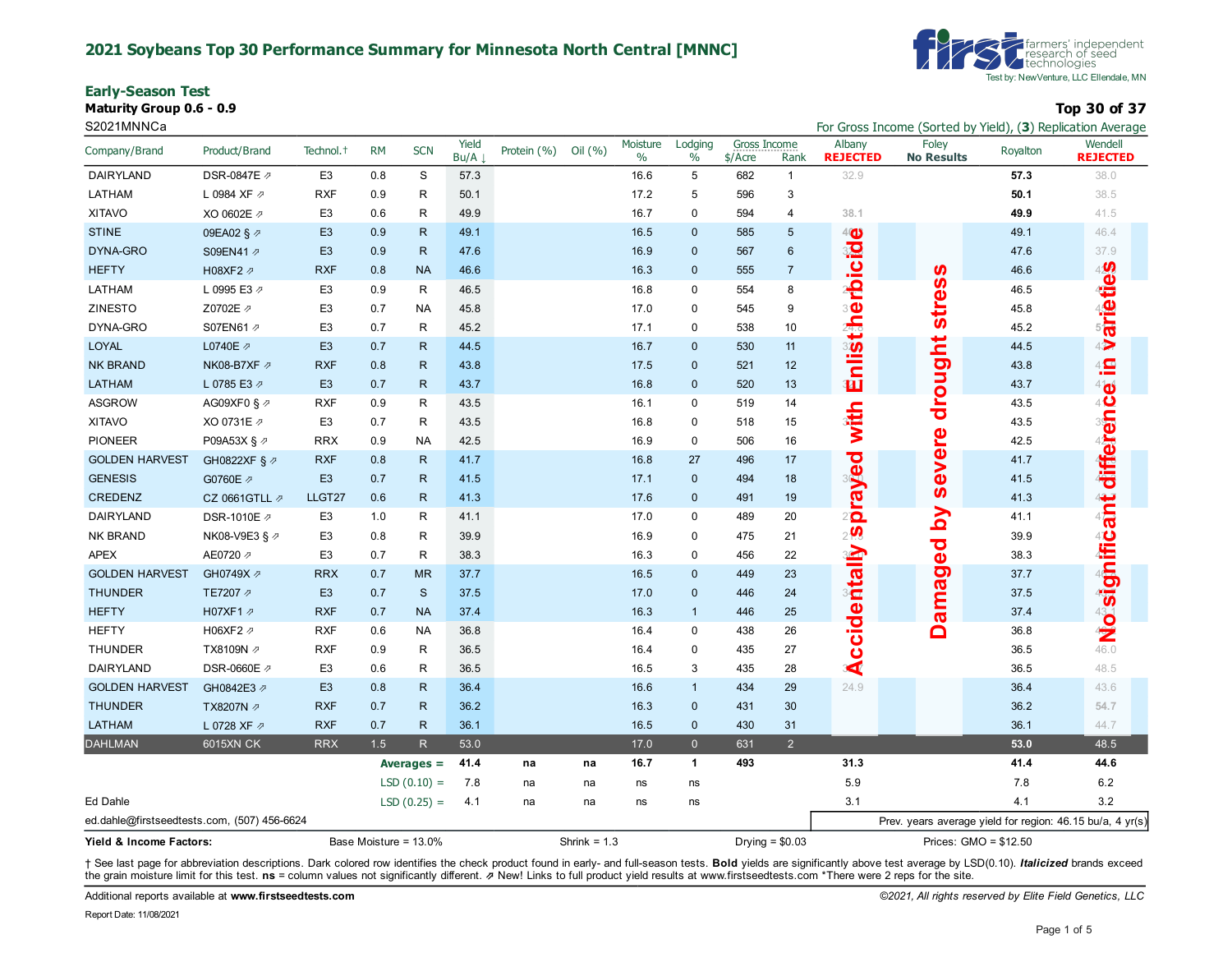#### **2021 Soybeans Top 30 Performance Summary for Minnesota North Central [MNNC]**

**Early-Season Test**

**Maturity Group 0.6 - 0.9 Top 30 of 37**

| <b>Farmers' independent</b><br><b>V</b> research of seed<br><b>V</b> technologies |
|-----------------------------------------------------------------------------------|
| Test by: New Venture, LLC Ellendale, MN                                           |

S2021MNNCa **For Gross Income (Sorted by Yield), (3**) Replication Average **For Gross Income (Sorted by Yield), (3)** Replication Average

| Company/Brand                                    | Product/Brand           | Technol. <sup>+</sup> | <b>RM</b> | <b>SCN</b>    | Yield<br>Bu/A | Protein (%) | Oil $(% )$     | Moisture<br>$\%$ | Lodging<br>$\%$ | Gross Income<br>\$/Acre | Rank             | Albany<br><b>REJECTED</b>                         | Foley<br><b>No Results</b> | Royalton                                                  | Wendell<br><b>REJECTED</b>         |
|--------------------------------------------------|-------------------------|-----------------------|-----------|---------------|---------------|-------------|----------------|------------------|-----------------|-------------------------|------------------|---------------------------------------------------|----------------------------|-----------------------------------------------------------|------------------------------------|
| DAIRYLAND                                        | DSR-0847E 2             | E <sub>3</sub>        | 0.8       | $\mathbf S$   | 57.3          |             |                | 16.6             | 5               | 682                     | $\mathbf{1}$     | 32.9                                              |                            | 57.3                                                      | 38.0                               |
| LATHAM                                           | L 0984 XF 2             | <b>RXF</b>            | 0.9       | R             | 50.1          |             |                | 17.2             | 5               | 596                     | $\mathsf 3$      |                                                   |                            | 50.1                                                      | 38.5                               |
| <b>XITAVO</b>                                    | XO 0602E 2              | E <sub>3</sub>        | 0.6       | R             | 49.9          |             |                | 16.7             | $\mathbf 0$     | 594                     | $\overline{4}$   | 38.1                                              |                            | 49.9                                                      | 41.5                               |
| <b>STINE</b>                                     | 09EA02 § 2              | E <sub>3</sub>        | 0.9       | R.            | 49.1          |             |                | 16.5             | $\mathbf{0}$    | 585                     | $5\phantom{.0}$  | 4 <sub>4</sub>                                    |                            | 49.1                                                      | 46.4                               |
| DYNA-GRO                                         | S09EN41 2               | E <sub>3</sub>        | 0.9       | R             | 47.6          |             |                | 16.9             | $\mathbf{0}$    | 567                     | $\boldsymbol{6}$ |                                                   |                            | 47.6                                                      | 37.9                               |
| <b>HEFTY</b>                                     | H08XF2 2                | <b>RXF</b>            | 0.8       | <b>NA</b>     | 46.6          |             |                | 16.3             | $\mathbf 0$     | 555                     | $\overline{7}$   | rbicid                                            |                            | 46.6                                                      |                                    |
| LATHAM                                           | L 0995 E3 2             | E <sub>3</sub>        | 0.9       | R             | 46.5          |             |                | 16.8             | $\mathbf 0$     | 554                     | 8                |                                                   | <b>stress</b>              | 46.5                                                      | <b>varieties</b>                   |
| ZINESTO                                          | Z0702E 2                | E <sub>3</sub>        | 0.7       | <b>NA</b>     | 45.8          |             |                | 17.0             | $\mathbf 0$     | 545                     | 9                | 30                                                |                            | 45.8                                                      |                                    |
| DYNA-GRO                                         | S07EN61 2               | E <sub>3</sub>        | 0.7       | R             | 45.2          |             |                | 17.1             | $\mathbf 0$     | 538                     | 10               | Enlistin                                          |                            | 45.2                                                      |                                    |
| <b>LOYAL</b>                                     | L0740E 2                | E <sub>3</sub>        | 0.7       | R.            | 44.5          |             |                | 16.7             | $\mathbf{0}$    | 530                     | 11               |                                                   |                            | 44.5                                                      |                                    |
| <b>NK BRAND</b>                                  | NK08-B7XF Ø             | <b>RXF</b>            | 0.8       | R.            | 43.8          |             |                | 17.5             | $\mathbf{0}$    | 521                     | 12               |                                                   |                            | 43.8                                                      | $4\frac{\text{C}}{\text{C}}$       |
| <b>LATHAM</b>                                    | L 0785 E3 2             | E <sub>3</sub>        | 0.7       | R.            | 43.7          |             |                | 16.8             | $\mathbf 0$     | 520                     | 13               |                                                   |                            | 43.7                                                      |                                    |
| <b>ASGROW</b>                                    | AG09XF0 § $\varnothing$ | <b>RXF</b>            | 0.9       | R             | 43.5          |             |                | 16.1             | $\mathbf 0$     | 519                     | 14               |                                                   | drought                    | 43.5                                                      | <b>A No significant difference</b> |
| <b>XITAVO</b>                                    | XO 0731E 2              | E <sub>3</sub>        | 0.7       | R             | 43.5          |             |                | 16.8             | 0               | 518                     | 15               | with                                              |                            | 43.5                                                      |                                    |
| <b>PIONEER</b>                                   | P09A53X § ク             | <b>RRX</b>            | 0.9       | <b>NA</b>     | 42.5          |             |                | 16.9             | 0               | 506                     | 16               |                                                   |                            | 42.5                                                      |                                    |
| <b>GOLDEN HARVEST</b>                            | GH0822XF § 2            | <b>RXF</b>            | 0.8       | $\mathsf{R}$  | 41.7          |             |                | 16.8             | 27              | 496                     | 17               |                                                   | severe                     | 41.7                                                      |                                    |
| <b>GENESIS</b>                                   | G0760E 2                | E <sub>3</sub>        | 0.7       | $\mathsf{R}$  | 41.5          |             |                | 17.1             | $\mathbf{0}$    | 494                     | 18               |                                                   |                            | 41.5                                                      |                                    |
| CREDENZ                                          | CZ 0661GTLL の           | LLGT27                | 0.6       | R             | 41.3          |             |                | 17.6             | $\mathbf 0$     | 491                     | 19               | peverd                                            |                            | 41.3                                                      |                                    |
| DAIRYLAND                                        | DSR-1010E Ø             | E <sub>3</sub>        | 1.0       | R             | 41.1          |             |                | 17.0             | $\mathbf 0$     | 489                     | 20               |                                                   | λq                         | 41.1                                                      |                                    |
| NK BRAND                                         | NK08-V9E3 § ⊉           | E <sub>3</sub>        | 0.8       | R             | 39.9          |             |                | 16.9             | $\mathbf 0$     | 475                     | 21               | $2$ <sub><math>\overline{\mathbf{Q}}</math></sub> |                            | 39.9                                                      |                                    |
| <b>APEX</b>                                      | AE0720 2                | E <sub>3</sub>        | 0.7       | R             | 38.3          |             |                | 16.3             | 0               | 456                     | 22               |                                                   | amaged                     | 38.3                                                      |                                    |
| <b>GOLDEN HARVEST</b>                            | GH0749X 2               | <b>RRX</b>            | 0.7       | <b>MR</b>     | 37.7          |             |                | 16.5             | $\mathbf{0}$    | 449                     | 23               |                                                   |                            | 37.7                                                      |                                    |
| <b>THUNDER</b>                                   | TE7207 2                | E <sub>3</sub>        | 0.7       | $\mathbf{s}$  | 37.5          |             |                | 17.0             | $\mathbf{0}$    | 446                     | 24               |                                                   |                            | 37.5                                                      |                                    |
| <b>HEFTY</b>                                     | H07XF1 2                | <b>RXF</b>            | 0.7       | <b>NA</b>     | 37.4          |             |                | 16.3             | $\mathbf{1}$    | 446                     | 25               | ccidentally                                       |                            | 37.4                                                      |                                    |
| <b>HEFTY</b>                                     | H06XF2 2                | <b>RXF</b>            | 0.6       | NA            | 36.8          |             |                | 16.4             | $\mathbf 0$     | 438                     | 26               |                                                   | Õ                          | 36.8                                                      |                                    |
| <b>THUNDER</b>                                   | TX8109N 2               | <b>RXF</b>            | 0.9       | R             | 36.5          |             |                | 16.4             | $\pmb{0}$       | 435                     | 27               |                                                   |                            | 36.5                                                      |                                    |
| DAIRYLAND                                        | DSR-0660E 2             | E <sub>3</sub>        | 0.6       | R             | 36.5          |             |                | 16.5             | 3               | 435                     | 28               | $\overline{\blacktriangle}$                       |                            | 36.5                                                      | 48.5                               |
| <b>GOLDEN HARVEST</b>                            | GH0842E3 2              | E <sub>3</sub>        | 0.8       | $\mathsf{R}$  | 36.4          |             |                | 16.6             | $\mathbf{1}$    | 434                     | 29               | 24.9                                              |                            | 36.4                                                      | 43.6                               |
| <b>THUNDER</b>                                   | TX8207N の               | <b>RXF</b>            | 0.7       | $\mathsf{R}$  | 36.2          |             |                | 16.3             | $\mathbf{0}$    | 431                     | 30               |                                                   |                            | 36.2                                                      | 54.7                               |
| <b>LATHAM</b>                                    | L 0728 XF 2             | <b>RXF</b>            | 0.7       | $\mathsf{R}$  | 36.1          |             |                | 16.5             | $\mathbf{0}$    | 430                     | 31               |                                                   |                            | 36.1                                                      | 44.7                               |
| <b>DAHLMAN</b>                                   | <b>6015XN CK</b>        | <b>RRX</b>            | 1.5       | R             | 53.0          |             |                | 17.0             | $\overline{0}$  | 631                     | $\overline{2}$   |                                                   |                            | 53.0                                                      | 48.5                               |
|                                                  |                         |                       |           | Averages $=$  | 41.4          | na          | na             | 16.7             | 1               | 493                     |                  | 31.3                                              |                            | 41.4                                                      | 44.6                               |
|                                                  |                         |                       |           | $LSD(0.10) =$ | 7.8           | na          | na             | ns               | ns              |                         |                  | 5.9                                               |                            | 7.8                                                       | $6.2\,$                            |
| Ed Dahle                                         |                         |                       |           | $LSD(0.25) =$ | 4.1           | na          | na             | ns               | ns              |                         |                  | 3.1                                               |                            | 4.1                                                       | 3.2                                |
| ed.dahle@firstseedtests.com, (507) 456-6624      |                         |                       |           |               |               |             |                |                  |                 |                         |                  |                                                   |                            | Prev. years average yield for region: 46.15 bu/a, 4 yr(s) |                                    |
| Base Moisture = 13.0%<br>Yield & Income Factors: |                         |                       |           |               |               |             | Shrink = $1.3$ |                  |                 |                         | Drying = $$0.03$ |                                                   |                            | Prices: GMO = \$12.50                                     |                                    |

+ See last page for abbreviation descriptions. Dark colored row identifies the check product found in early- and full-season tests. Bold yields are significantly above test average by LSD(0.10). Italicized brands exceed the grain moisture limit for this test. **ns** = column values not significantly different. ⇗ New! Links to full product yield results at www.firstseedtests.com \*There were 2 reps for the site.

Additional reports available at **[www.firstseedtests.com](https://www.firstseedtests.com)** *©2021, All rights reserved by Elite Field Genetics, LLC*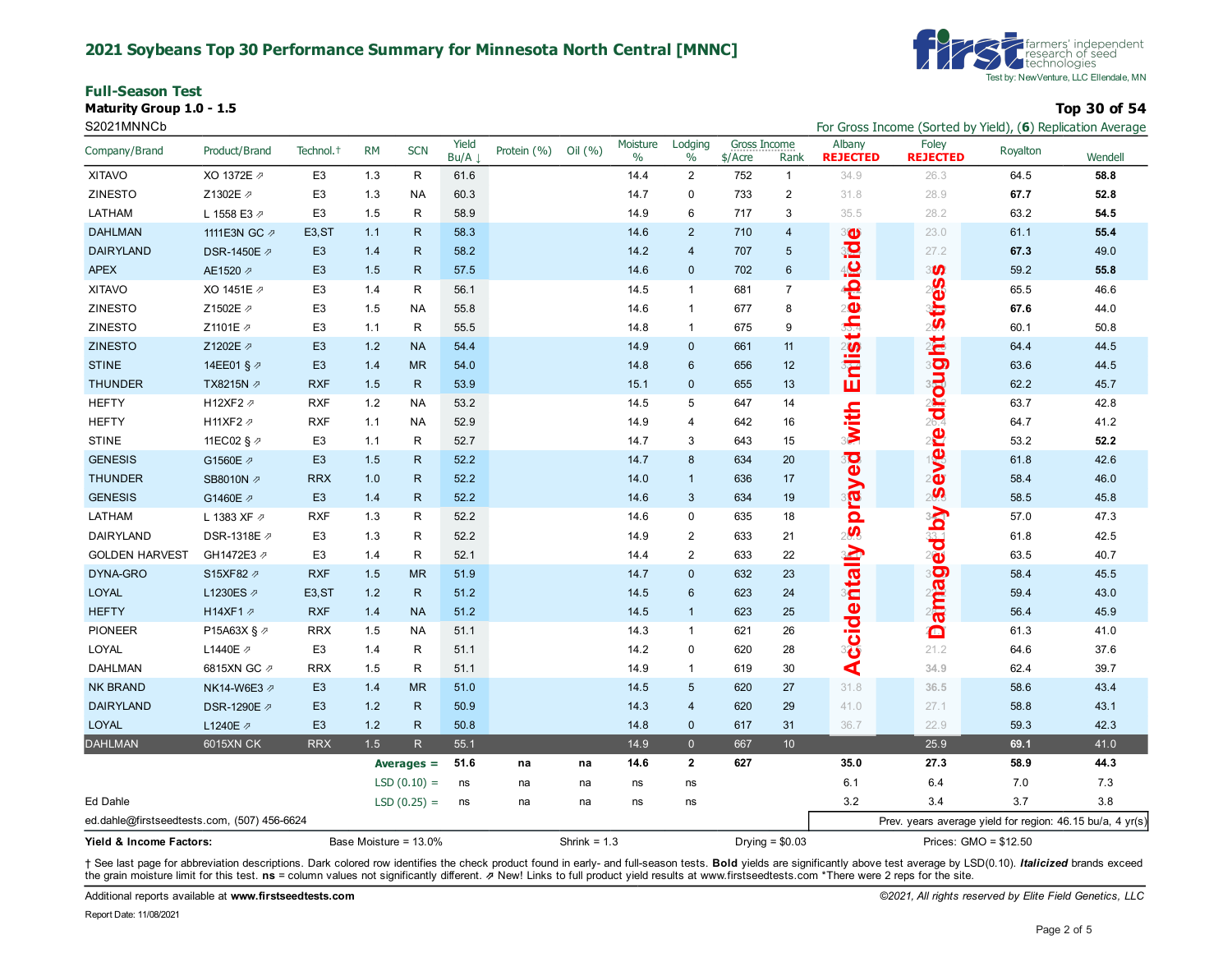#### **2021 Soybeans Top 30 Performance Summary for Minnesota North Central [MNNC]**

**Full-Season Test Maturity Group 1.0 - 1.5 Top 30 of 54**



S2021MNNCb For Gross Income (Sorted by Yield), (**6**) Replication Average

| Company/Brand                               | Product/Brand    | Technol. <sup>+</sup> | <b>RM</b>             | <b>SCN</b>    | Yield<br>Bu/A | Protein (%)    | Oil (%) | Moisture<br>$\%$ | Lodging<br>$\%$ | Gross Income<br>\$/Acre | Rank             | Albany<br><b>REJECTED</b> | Foley<br><b>REJECTED</b>                                  | Royalton | Wendell |
|---------------------------------------------|------------------|-----------------------|-----------------------|---------------|---------------|----------------|---------|------------------|-----------------|-------------------------|------------------|---------------------------|-----------------------------------------------------------|----------|---------|
| <b>XITAVO</b>                               | XO 1372E 2       | E <sub>3</sub>        | 1.3                   | R             | 61.6          |                |         | 14.4             | $\overline{2}$  | 752                     | $\mathbf{1}$     | 34.9                      | 26.3                                                      | 64.5     | 58.8    |
| <b>ZINESTO</b>                              | Z1302E 2         | E <sub>3</sub>        | 1.3                   | NA            | 60.3          |                |         | 14.7             | $\mathbf 0$     | 733                     | $\mathbf{2}$     | 31.8                      | 28.9                                                      | 67.7     | 52.8    |
| LATHAM                                      | L 1558 E3 2      | E <sub>3</sub>        | 1.5                   | R             | 58.9          |                |         | 14.9             | 6               | 717                     | 3                | 35.5                      | 28.2                                                      | 63.2     | 54.5    |
| <b>DAHLMAN</b>                              | 1111E3N GC 2     | E <sub>3</sub> , ST   | 1.1                   | $\mathsf{R}$  | 58.3          |                |         | 14.6             | $\overline{2}$  | 710                     | $\overline{4}$   | 30                        | 23.0                                                      | 61.1     | 55.4    |
| <b>DAIRYLAND</b>                            | DSR-1450E 2      | E <sub>3</sub>        | 1.4                   | $\mathsf{R}$  | 58.2          |                |         | 14.2             | $\overline{4}$  | 707                     | 5                |                           | 27.2                                                      | 67.3     | 49.0    |
| <b>APEX</b>                                 | AE1520 2         | E <sub>3</sub>        | 1.5                   | $\mathsf{R}$  | 57.5          |                |         | 14.6             | $\mathbf 0$     | 702                     | $6\phantom{a}$   |                           | 3 <b><i>U</i></b>                                         | 59.2     | 55.8    |
| <b>XITAVO</b>                               | XO 1451E 2       | E <sub>3</sub>        | 1.4                   | $\mathsf{R}$  | 56.1          |                |         | 14.5             | $\overline{1}$  | 681                     | $\boldsymbol{7}$ | erbicid                   | <b>istres</b>                                             | 65.5     | 46.6    |
| ZINESTO                                     | Z1502E 2         | E <sub>3</sub>        | 1.5                   | <b>NA</b>     | 55.8          |                |         | 14.6             | $\overline{1}$  | 677                     | 8                |                           |                                                           | 67.6     | 44.0    |
| <b>ZINESTO</b>                              | Z1101E 2         | E <sub>3</sub>        | 1.1                   | R             | 55.5          |                |         | 14.8             | $\mathbf{1}$    | 675                     | 9                |                           |                                                           | 60.1     | 50.8    |
| <b>ZINESTO</b>                              | Z1202E 2         | E <sub>3</sub>        | 1.2                   | <b>NA</b>     | 54.4          |                |         | 14.9             | $\mathbf{0}$    | 661                     | 11               |                           |                                                           | 64.4     | 44.5    |
| <b>STINE</b>                                | 14EE01 § 2       | E <sub>3</sub>        | 1.4                   | <b>MR</b>     | 54.0          |                |         | 14.8             | $6\phantom{1}6$ | 656                     | 12               |                           |                                                           | 63.6     | 44.5    |
| <b>THUNDER</b>                              | TX8215N ₽        | <b>RXF</b>            | 1.5                   | $\mathsf{R}$  | 53.9          |                |         | 15.1             | $\mathbf 0$     | 655                     | 13               | Erilistih                 |                                                           | 62.2     | 45.7    |
| <b>HEFTY</b>                                | H12XF2 2         | <b>RXF</b>            | 1.2                   | <b>NA</b>     | 53.2          |                |         | 14.5             | 5               | 647                     | 14               |                           |                                                           | 63.7     | 42.8    |
| <b>HEFTY</b>                                | H11XF2 2         | <b>RXF</b>            | 1.1                   | NA            | 52.9          |                |         | 14.9             | $\overline{4}$  | 642                     | 16               |                           |                                                           | 64.7     | 41.2    |
| <b>STINE</b>                                | 11EC02 § 2       | E <sub>3</sub>        | 1.1                   | R             | 52.7          |                |         | 14.7             | 3               | 643                     | 15               | with                      |                                                           | 53.2     | 52.2    |
| <b>GENESIS</b>                              | G1560E 2         | E <sub>3</sub>        | 1.5                   | $\mathsf{R}$  | 52.2          |                |         | 14.7             | 8               | 634                     | 20               |                           | evere drought                                             | 61.8     | 42.6    |
| <b>THUNDER</b>                              | SB8010N 2        | <b>RRX</b>            | 1.0                   | $\mathsf{R}$  | 52.2          |                |         | 14.0             | $\overline{1}$  | 636                     | 17               |                           |                                                           | 58.4     | 46.0    |
| <b>GENESIS</b>                              | G1460E 2         | E <sub>3</sub>        | 1.4                   | $\mathsf{R}$  | 52.2          |                |         | 14.6             | $\mathbf{3}$    | 634                     | 19               | peyend                    | ed by's                                                   | 58.5     | 45.8    |
| LATHAM                                      | L 1383 XF 2      | <b>RXF</b>            | 1.3                   | $\mathsf{R}$  | 52.2          |                |         | 14.6             | $\mathbf 0$     | 635                     | 18               |                           |                                                           | 57.0     | 47.3    |
| DAIRYLAND                                   | DSR-1318E 2      | E <sub>3</sub>        | 1.3                   | R             | 52.2          |                |         | 14.9             | $\overline{2}$  | 633                     | 21               | 2                         |                                                           | 61.8     | 42.5    |
| <b>GOLDEN HARVEST</b>                       | GH1472E3 2       | E <sub>3</sub>        | 1.4                   | R             | 52.1          |                |         | 14.4             | $\overline{2}$  | 633                     | 22               |                           |                                                           | 63.5     | 40.7    |
| DYNA-GRO                                    | S15XF82 2        | <b>RXF</b>            | 1.5                   | <b>MR</b>     | 51.9          |                |         | 14.7             | $\mathbf 0$     | 632                     | 23               |                           | 3                                                         | 58.4     | 45.5    |
| LOYAL                                       | L1230ES 2        | E <sub>3</sub> , ST   | 1.2                   | $\mathsf{R}$  | 51.2          |                |         | 14.5             | $6\phantom{1}6$ | 623                     | 24               |                           |                                                           | 59.4     | 43.0    |
| <b>HEFTY</b>                                | H14XF1 2         | <b>RXF</b>            | 1.4                   | <b>NA</b>     | 51.2          |                |         | 14.5             | $\overline{1}$  | 623                     | 25               |                           | ainia                                                     | 56.4     | 45.9    |
| <b>PIONEER</b>                              | P15A63X § ⊅      | <b>RRX</b>            | 1.5                   | <b>NA</b>     | 51.1          |                |         | 14.3             | $\overline{1}$  | 621                     | 26               | <b>Ccidentally</b>        | Ô                                                         | 61.3     | 41.0    |
| LOYAL                                       | L1440E ク         | E <sub>3</sub>        | 1.4                   | R             | 51.1          |                |         | 14.2             | $\mathbf 0$     | 620                     | 28               |                           | 21.2                                                      | 64.6     | 37.6    |
| <b>DAHLMAN</b>                              | 6815XN GC 2      | <b>RRX</b>            | 1.5                   | $\mathsf{R}$  | 51.1          |                |         | 14.9             | $\overline{1}$  | 619                     | 30               | ∢                         | 34.9                                                      | 62.4     | 39.7    |
| <b>NK BRAND</b>                             | NK14-W6E3 2      | E <sub>3</sub>        | 1.4                   | <b>MR</b>     | 51.0          |                |         | 14.5             | $5\phantom{.0}$ | 620                     | 27               | 31.8                      | 36.5                                                      | 58.6     | 43.4    |
| <b>DAIRYLAND</b>                            | DSR-1290E 2      | E <sub>3</sub>        | 1.2                   | $\mathsf{R}$  | 50.9          |                |         | 14.3             | $\overline{4}$  | 620                     | 29               | 41.0                      | 27.1                                                      | 58.8     | 43.1    |
| <b>LOYAL</b>                                | L1240E 2         | E <sub>3</sub>        | 1.2                   | $\mathsf{R}$  | 50.8          |                |         | 14.8             | $\mathbf 0$     | 617                     | 31               | 36.7                      | 22.9                                                      | 59.3     | 42.3    |
| <b>DAHLMAN</b>                              | <b>6015XN CK</b> | <b>RRX</b>            | 1.5                   | R             | 55.1          |                |         | 14.9             | $\overline{0}$  | 667                     | 10 <sup>°</sup>  |                           | 25.9                                                      | 69.1     | 41.0    |
|                                             |                  |                       |                       | Averages $=$  | 51.6          | na             | na      | 14.6             | $\mathbf{2}$    | 627                     |                  | 35.0                      | 27.3                                                      | 58.9     | 44.3    |
|                                             |                  |                       |                       | $LSD(0.10) =$ | ns            | na             | na      | ns               | ns              |                         |                  | 6.1                       | 6.4                                                       | 7.0      | 7.3     |
| Ed Dahle                                    |                  |                       |                       | $LSD(0.25) =$ | ns            | na             | na      | ns               | ns              |                         |                  | 3.2                       | 3.4                                                       | 3.7      | 3.8     |
| ed.dahle@firstseedtests.com, (507) 456-6624 |                  |                       |                       |               |               |                |         |                  |                 |                         |                  |                           | Prev. years average yield for region: 46.15 bu/a, 4 yr(s) |          |         |
| Yield & Income Factors:                     |                  |                       | Base Moisture = 13.0% |               |               | Shrink = $1.3$ |         |                  |                 | Drying = $$0.03$        |                  | Prices: GMO = \$12.50     |                                                           |          |         |

† See last page for abbreviation descriptions. Dark colored row identifies the check product found in early- and full-season tests. Bold yields are significantly above test average by LSD(0.10). Italicized brands exceed the grain moisture limit for this test. **ns** = column values not significantly different. ⇗ New! Links to full product yield results at www.firstseedtests.com \*There were 2 reps for the site.

Additional reports available at **[www.firstseedtests.com](https://www.firstseedtests.com)** *©2021, All rights reserved by Elite Field Genetics, LLC* 

Report Date: 11/08/2021

Page 2 of 5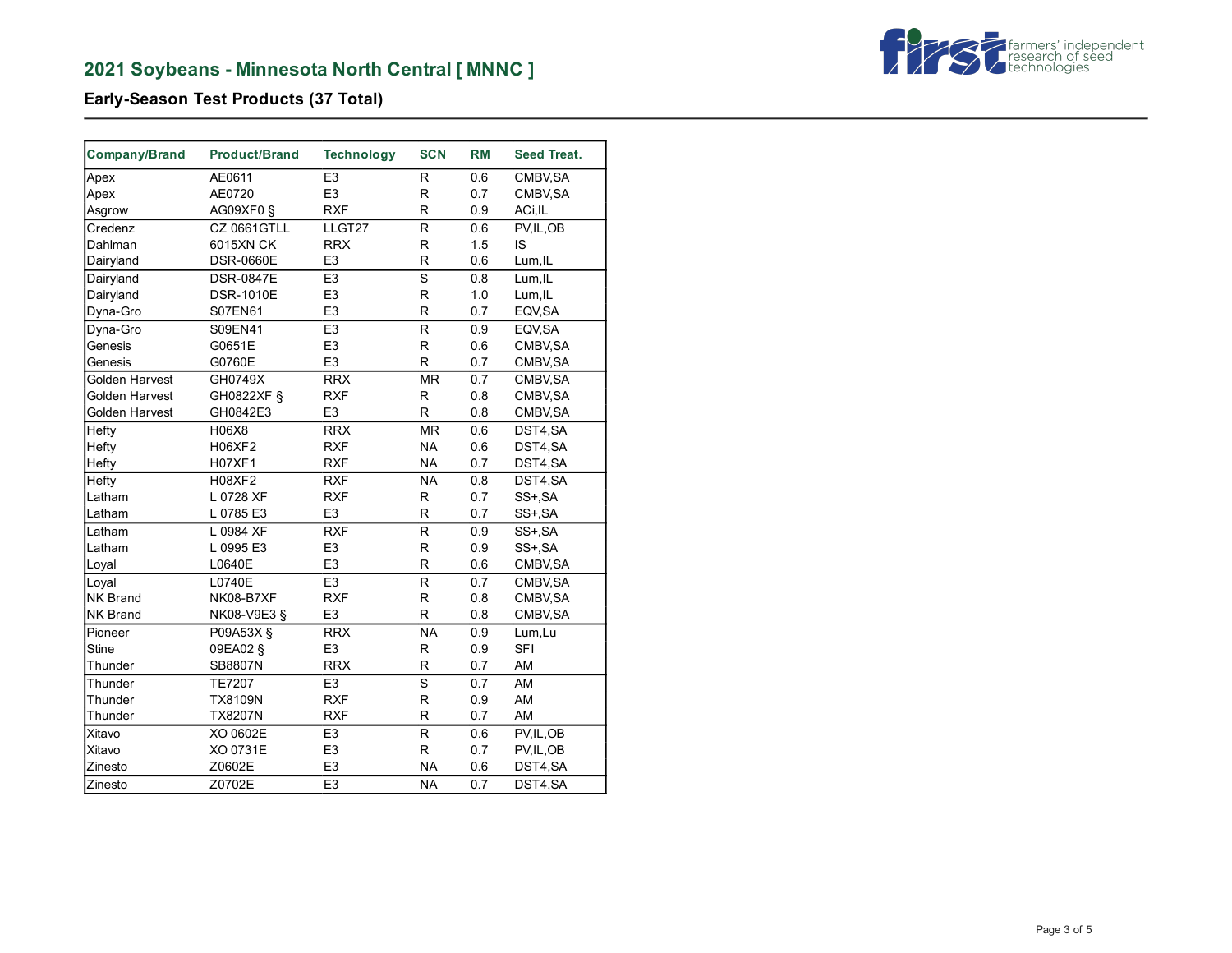

**Early-Season Test Products (37 Total)**

| Company/Brand   | <b>Product/Brand</b> | <b>Technology</b> | <b>SCN</b>               | <b>RM</b> | Seed Treat. |
|-----------------|----------------------|-------------------|--------------------------|-----------|-------------|
| Apex            | AE0611               | E <sub>3</sub>    | R                        | 0.6       | CMBV, SA    |
| Apex            | AE0720               | E <sub>3</sub>    | $\mathsf{R}$             | 0.7       | CMBV, SA    |
| Asgrow          | AG09XF0 §            | <b>RXF</b>        | $\mathsf{R}$             | 0.9       | ACi, IL     |
| Credenz         | <b>CZ 0661GTLL</b>   | LLGT27            | R                        | 0.6       | PV, IL, OB  |
| Dahlman         | 6015XN CK            | <b>RRX</b>        | $\mathsf{R}$             | 1.5       | IS          |
| Dairyland       | <b>DSR-0660E</b>     | E <sub>3</sub>    | $\mathsf R$              | 0.6       | Lum, IL     |
| Dairyland       | <b>DSR-0847E</b>     | E <sub>3</sub>    | $\overline{s}$           | 0.8       | Lum, IL     |
| Dairyland       | <b>DSR-1010E</b>     | E <sub>3</sub>    | $\mathsf R$              | 1.0       | Lum, IL     |
| Dyna-Gro        | S07EN61              | E <sub>3</sub>    | R                        | 0.7       | EQV, SA     |
| Dyna-Gro        | S09EN41              | E <sub>3</sub>    | $\overline{\mathsf{R}}$  | 0.9       | EQV, SA     |
| Genesis         | G0651E               | E <sub>3</sub>    | R                        | 0.6       | CMBV, SA    |
| Genesis         | G0760E               | E <sub>3</sub>    | R                        | 0.7       | CMBV, SA    |
| Golden Harvest  | GH0749X              | <b>RRX</b>        | <b>MR</b>                | 0.7       | CMBV, SA    |
| Golden Harvest  | GH0822XF §           | <b>RXF</b>        | R                        | 0.8       | CMBV, SA    |
| Golden Harvest  | GH0842E3             | E <sub>3</sub>    | $\mathsf R$              | 0.8       | CMBV, SA    |
| Hefty           | H06X8                | <b>RRX</b>        | <b>MR</b>                | 0.6       | DST4,SA     |
| Hefty           | H06XF2               | <b>RXF</b>        | <b>NA</b>                | 0.6       | DST4,SA     |
| Hefty           | <b>H07XF1</b>        | <b>RXF</b>        | <b>NA</b>                | 0.7       | DST4,SA     |
| Hefty           | <b>H08XF2</b>        | <b>RXF</b>        | <b>NA</b>                | 0.8       | DST4,SA     |
| Latham          | L 0728 XF            | <b>RXF</b>        | $\mathsf{R}$             | 0.7       | SS+, SA     |
| Latham          | L 0785 E3            | E <sub>3</sub>    | $\mathsf R$              | 0.7       | SS+, SA     |
| Latham          | L 0984 XF            | <b>RXF</b>        | $\mathsf R$              | 0.9       | SS+, SA     |
| Latham          | L 0995 E3            | E <sub>3</sub>    | $\mathsf R$              | 0.9       | SS+, SA     |
| Loyal           | L0640E               | E <sub>3</sub>    | R                        | 0.6       | CMBV, SA    |
| Loyal           | L0740E               | E3                | $\overline{R}$           | 0.7       | CMBV, SA    |
| <b>NK Brand</b> | <b>NK08-B7XF</b>     | <b>RXF</b>        | $\mathsf R$              | 0.8       | CMBV, SA    |
| <b>NK Brand</b> | NK08-V9E3 §          | E <sub>3</sub>    | R                        | 0.8       | CMBV, SA    |
| Pioneer         | P09A53X §            | <b>RRX</b>        | <b>NA</b>                | 0.9       | Lum,Lu      |
| <b>Stine</b>    | 09EA02 §             | E <sub>3</sub>    | $\mathsf R$              | 0.9       | <b>SFI</b>  |
| Thunder         | SB8807N              | <b>RRX</b>        | R                        | 0.7       | AM          |
| Thunder         | <b>TE7207</b>        | E <sub>3</sub>    | S                        | 0.7       | AM          |
| Thunder         | <b>TX8109N</b>       | <b>RXF</b>        | R                        | 0.9       | AM          |
| Thunder         | <b>TX8207N</b>       | <b>RXF</b>        | R                        | 0.7       | AM          |
| Xitavo          | XO 0602E             | E <sub>3</sub>    | $\mathsf R$              | 0.6       | PV, IL, OB  |
| Xitavo          | XO 0731E             | E <sub>3</sub>    | $\mathsf R$              | 0.7       | PV, IL, OB  |
| Zinesto         | Z0602E               | E <sub>3</sub>    | <b>NA</b>                | 0.6       | DST4,SA     |
| Zinesto         | Z0702E               | E3                | $\overline{\mathsf{NA}}$ | 0.7       | DST4,SA     |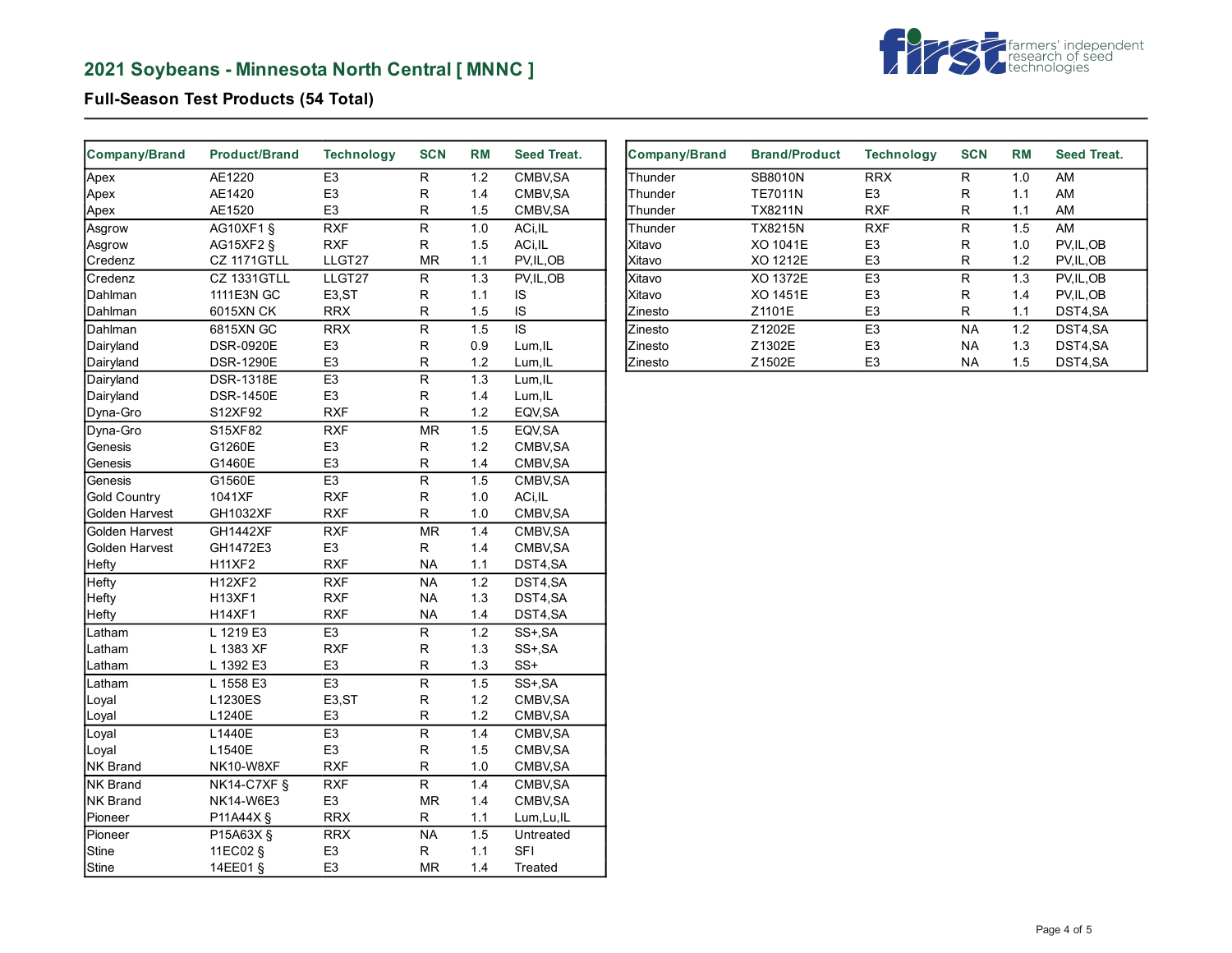# **2021 Soybeans - Minnesota North Central [ MNNC ]**



## **Full-Season Test Products (54 Total)**

| Company/Brand       | <b>Product/Brand</b> | <b>Technology</b>  | <b>SCN</b>               | <b>RM</b>        | <b>Seed Treat.</b>    |
|---------------------|----------------------|--------------------|--------------------------|------------------|-----------------------|
| Apex                | AE1220               | E <sub>3</sub>     | R.                       | 1.2              | CMBV, SA              |
| Apex                | AE1420               | E <sub>3</sub>     | R                        | 1.4              | CMBV, SA              |
| Apex                | AE1520               | E <sub>3</sub>     | R                        | 1.5              | CMBV, SA              |
| Asgrow              | <b>AG10XF1 §</b>     | <b>RXF</b>         | R                        | $\overline{1.0}$ | ACi, IL               |
| Asgrow              | <b>AG15XF2 §</b>     | <b>RXF</b>         | R.                       | 1.5              | ACi, IL               |
| Credenz             | CZ 1171GTLL          | LLGT27             | <b>MR</b>                | 1.1              | PV, IL, OB            |
| Credenz             | <b>CZ 1331GTLL</b>   | LLGT27             | $\overline{R}$           | 1.3              | PV, IL, OB            |
| Dahlman             | 1111E3N GC           | E <sub>3</sub> ,ST | R                        | 1.1              | IS                    |
| Dahlman             | 6015XN CK            | <b>RRX</b>         | R                        | 1.5              | IS                    |
| Dahlman             | 6815XN GC            | <b>RRX</b>         | R                        | 1.5              | IS                    |
| Dairyland           | <b>DSR-0920E</b>     | E <sub>3</sub>     | $\mathsf R$              | 0.9              | Lum, IL               |
| Dairyland           | <b>DSR-1290E</b>     | E <sub>3</sub>     | $\mathsf R$              | 1.2              | Lum, IL               |
| Dairyland           | <b>DSR-1318E</b>     | E <sub>3</sub>     | $\mathsf{R}$             | 1.3              | Lum, IL               |
| Dairyland           | <b>DSR-1450E</b>     | E <sub>3</sub>     | $\mathsf R$              | 1.4              | Lum, IL               |
| Dyna-Gro            | S12XF92              | <b>RXF</b>         | R.                       | 1.2              | EQV, SA               |
| Dyna-Gro            | S15XF82              | <b>RXF</b>         | MR                       | 1.5              | EQV, SA               |
| Genesis             | G1260E               | E <sub>3</sub>     | R.                       | 1.2              | CMBV, SA              |
| Genesis             | G1460E               | E <sub>3</sub>     | R                        | 1.4              | CMBV, SA              |
| Genesis             | G1560E               | E <sub>3</sub>     | R                        | 1.5              | CMBV, SA              |
| <b>Gold Country</b> | 1041XF               | <b>RXF</b>         | $\mathsf R$              | 1.0              | ACi, IL               |
| Golden Harvest      | GH1032XF             | <b>RXF</b>         | $\mathsf{R}$             | 1.0              | CMBV, SA              |
| Golden Harvest      | <b>GH1442XF</b>      | <b>RXF</b>         | $\overline{\mathsf{MR}}$ | 1.4              | CMBV, SA              |
| Golden Harvest      | GH1472E3             | E <sub>3</sub>     | $\mathsf R$              | 1.4              | CMBV, SA              |
| Hefty               | <b>H11XF2</b>        | <b>RXF</b>         | <b>NA</b>                | 1.1              | DST4,SA               |
| Hefty               | <b>H12XF2</b>        | <b>RXF</b>         | <b>NA</b>                | 1.2              | DST4,SA               |
| Hefty               | <b>H13XF1</b>        | <b>RXF</b>         | <b>NA</b>                | 1.3              | DST4,SA               |
| Hefty               | <b>H14XF1</b>        | <b>RXF</b>         | <b>NA</b>                | 1.4              | DST4,SA               |
| Latham              | L 1219 E3            | E3                 | $\overline{R}$           | $\overline{1.2}$ | $\overline{SS}$ +, SA |
| Latham              | L 1383 XF            | <b>RXF</b>         | R                        | 1.3              | SS+, SA               |
| Latham              | L 1392 E3            | E <sub>3</sub>     | $\mathsf R$              | 1.3              | SS+                   |
| Latham              | L 1558 E3            | E <sub>3</sub>     | $\overline{\mathsf{R}}$  | 1.5              | SS+, SA               |
| Loyal               | L1230ES              | E3,ST              | R                        | 1.2              | CMBV, SA              |
| Loyal               | L1240E               | E <sub>3</sub>     | R                        | 1.2              | CMBV, SA              |
| Loyal               | L1440E               | E <sub>3</sub>     | R                        | 1.4              | CMBV, SA              |
| Loyal               | L1540E               | E <sub>3</sub>     | R                        | 1.5              | CMBV, SA              |
| NK Brand            | NK10-W8XF            | <b>RXF</b>         | $\mathsf R$              | 1.0              | CMBV, SA              |
| NK Brand            | $NK14-C7XF$          | <b>RXF</b>         | $\overline{\mathsf{R}}$  | 1.4              | CMBV, SA              |
| NK Brand            | NK14-W6E3            | E <sub>3</sub>     | <b>MR</b>                | 1.4              | CMBV, SA              |
| Pioneer             | P11A44X §            | <b>RRX</b>         | R                        | 1.1              | Lum, Lu, IL           |
| Pioneer             | P15A63X §            | <b>RRX</b>         | NA                       | 1.5              | Untreated             |
| <b>Stine</b>        | 11EC02 §             | E <sub>3</sub>     | $\mathsf R$              | 1.1              | <b>SFI</b>            |
| Stine               | 14EE01 §             | E <sub>3</sub>     | <b>MR</b>                | 1.4              | Treated               |

| <b>Company/Brand</b> | <b>Brand/Product</b> | <b>Technology</b> | <b>SCN</b> | <b>RM</b> | Seed Treat. |
|----------------------|----------------------|-------------------|------------|-----------|-------------|
| Thunder              | SB8010N              | <b>RRX</b>        | R          | 1.0       | AM          |
| Thunder              | <b>TE7011N</b>       | E <sub>3</sub>    | R          | 1.1       | AM          |
| Thunder              | <b>TX8211N</b>       | <b>RXF</b>        | R          | 1.1       | AM          |
| Thunder              | <b>TX8215N</b>       | <b>RXF</b>        | R          | 1.5       | AM          |
| Xitavo               | XO 1041E             | E <sub>3</sub>    | R          | 1.0       | PV, IL, OB  |
| <b>Xitavo</b>        | XO 1212E             | E <sub>3</sub>    | R          | 1.2       | PV, IL, OB  |
| Xitavo               | XO 1372E             | E <sub>3</sub>    | R          | 1.3       | PV.IL.OB    |
| Xitavo               | XO 1451E             | E <sub>3</sub>    | R          | 1.4       | PV, IL, OB  |
| IZinesto             | Z1101E               | E <sub>3</sub>    | R          | 1.1       | DST4.SA     |
| <b>Zinesto</b>       | Z1202E               | E <sub>3</sub>    | <b>NA</b>  | 1.2       | DST4.SA     |
| <b>Zinesto</b>       | Z1302E               | E <sub>3</sub>    | <b>NA</b>  | 1.3       | DST4,SA     |
| <b>Zinesto</b>       | Z1502E               | E <sub>3</sub>    | <b>NA</b>  | 1.5       | DST4.SA     |